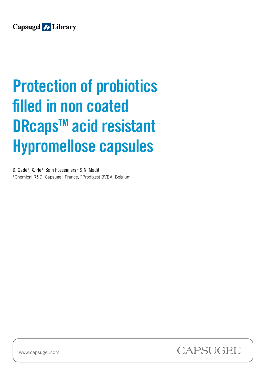# **Protection of probiotics** filled in non coated DRcaps<sup>™</sup> acid resistant Hypromellose capsules Business Development Manager LIY PI C Pharmaceutical Market Specialist

D. Cadé  $^1$ , X. He  $^1$ , Sam Possemiers  $^2$  & N. Madit  $^1$ <sup>1</sup> Chemical R&D, Capsugel, France, <sup>2</sup> Prodigest BVBA, Belgium



www.capsugel.com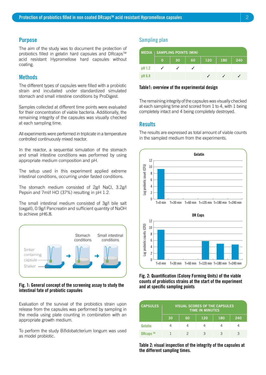#### **Purpose**

The aim of the study was to document the protection of probiotics filled in gelatin hard capsules and DRcaps<sup>™</sup> acid resistant Hypromellose hard capsules without coating.

# **Methods**

The different types of capsules were filled with a probiotic strain and incubated under standardized simulated stomach and small intestine conditions by ProDigest.

Samples collected at different time points were evaluated for their concentration of viable bacteria. Additionally, the remaining integrity of the capsules was visually checked at each sampling time.

All experiments were performed in triplicate in a temperature controlled continuously mixed reactor.

In the reactor, a sequential simulation of the stomach and small intestine conditions was performed by using appropriate medium composition and pH.

The setup used in this experiment applied extreme intestinal conditions, occurring under fasted conditions.

The stomach medium consisted of 2g/l NaCl, 3.2g/l Pepsin and 7ml/l HCl (37%) resulting in pH 1.2.

The small intestinal medium consisted of 3g/l bile salt (oxgall), 0.9g/l Pancreatin and sufficient quantity of NaOH to achieve pH6.8.



#### Fig. 1: General concept of the screening assay to study the intestinal fate of probiotic capsules

Evaluation of the survival of the probiotics strain upon release from the capsules was performed by sampling in the media using plate counting in combination with an appropriate growth medium.

To perform the study Bifidobatcterium longum was used as model probiotic.

## Sampling plan

|          | <b>MEDIA   SAMPLING POINTS (MIN)</b> |    |    |     |     |     |  |  |  |
|----------|--------------------------------------|----|----|-----|-----|-----|--|--|--|
|          | 0                                    | 30 | 60 | 120 | 180 | 240 |  |  |  |
| $pH$ 1.2 |                                      |    |    |     |     |     |  |  |  |
| pH 6.8   |                                      |    |    |     |     |     |  |  |  |

#### Table1: overview of the experimental design

The remaining integrity of the capsules was visually checked at each sampling time and scored from 1 to 4, with 1 being completely intact and 4 being completely destroyed.

### **Results**

The results are expressed as total amount of viable counts in the sampled medium from the experiments.



#### Fig. 2: Quantification (Colony Forming Units) of the viable counts of probiotics strains at the start of the experiment and at specific sampling points

| <b>CAPSULES</b> | <b>VISUAL SCORES OF THE CAPSULES</b><br><b>TIME IN MINUTES</b> |    |     |     |     |  |  |
|-----------------|----------------------------------------------------------------|----|-----|-----|-----|--|--|
|                 | 30                                                             | 60 | 120 | 180 | 240 |  |  |
| Gelatin         | 4                                                              |    |     |     |     |  |  |
| <b>DRcaps</b> ™ |                                                                | 2  | З   | З   |     |  |  |

Table 2: visual inspection of the integrity of the capsules at the different sampling times.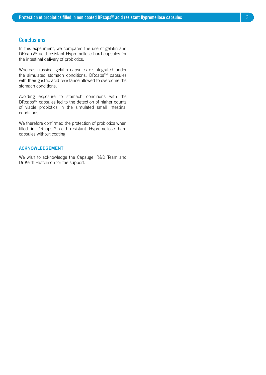## **Conclusions**

In this experiment, we compared the use of gelatin and DRcaps™ acid resistant Hypromellose hard capsules for the intestinal delivery of probiotics.

Whereas classical gelatin capsules disintegrated under the simulated stomach conditions, DRcaps™ capsules with their gastric acid resistance allowed to overcome the stomach conditions.

Avoiding exposure to stomach conditions with the DRcaps™ capsules led to the detection of higher counts of viable probiotics in the simulated small intestinal conditions.

We therefore confirmed the protection of probiotics when filled in DRcaps™ acid resistant Hypromellose hard capsules without coating.

#### ACKNOWLEDGEMENT

We wish to acknowledge the Capsugel R&D Team and Dr Keith Hutchison for the support.